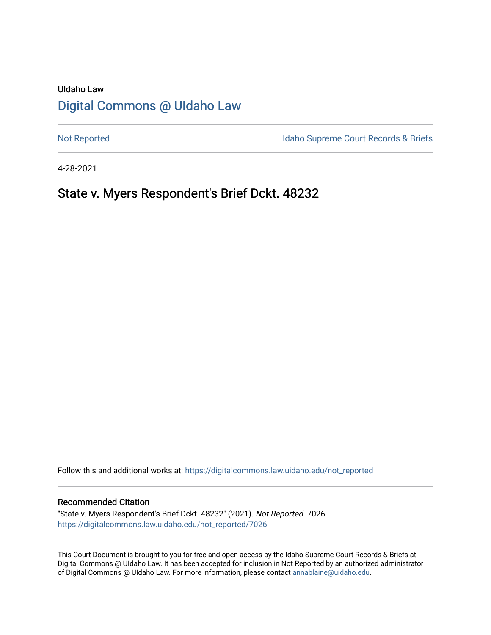# UIdaho Law [Digital Commons @ UIdaho Law](https://digitalcommons.law.uidaho.edu/)

[Not Reported](https://digitalcommons.law.uidaho.edu/not_reported) **Idaho Supreme Court Records & Briefs** 

4-28-2021

# State v. Myers Respondent's Brief Dckt. 48232

Follow this and additional works at: [https://digitalcommons.law.uidaho.edu/not\\_reported](https://digitalcommons.law.uidaho.edu/not_reported?utm_source=digitalcommons.law.uidaho.edu%2Fnot_reported%2F7026&utm_medium=PDF&utm_campaign=PDFCoverPages) 

#### Recommended Citation

"State v. Myers Respondent's Brief Dckt. 48232" (2021). Not Reported. 7026. [https://digitalcommons.law.uidaho.edu/not\\_reported/7026](https://digitalcommons.law.uidaho.edu/not_reported/7026?utm_source=digitalcommons.law.uidaho.edu%2Fnot_reported%2F7026&utm_medium=PDF&utm_campaign=PDFCoverPages)

This Court Document is brought to you for free and open access by the Idaho Supreme Court Records & Briefs at Digital Commons @ UIdaho Law. It has been accepted for inclusion in Not Reported by an authorized administrator of Digital Commons @ UIdaho Law. For more information, please contact [annablaine@uidaho.edu](mailto:annablaine@uidaho.edu).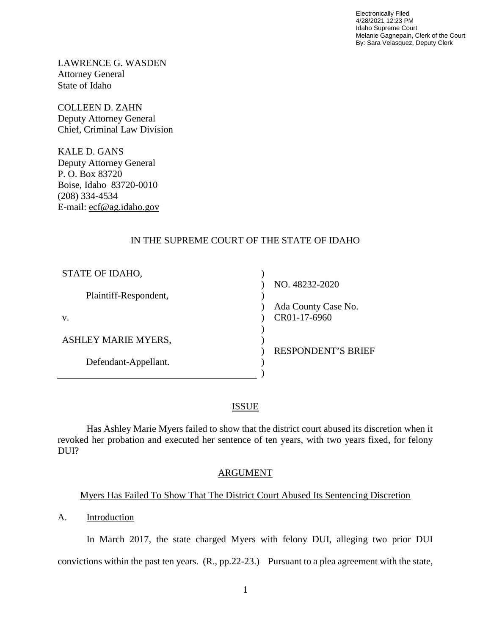Electronically Filed 4/28/2021 12:23 PM Idaho Supreme Court Melanie Gagnepain, Clerk of the Court By: Sara Velasquez, Deputy Clerk

LAWRENCE G. WASDEN Attorney General State of Idaho

COLLEEN D. ZAHN Deputy Attorney General Chief, Criminal Law Division

KALE D. GANS Deputy Attorney General P. O. Box 83720 Boise, Idaho 83720-0010 (208) 334-4534 E-mail: ecf@ag.idaho.gov

## IN THE SUPREME COURT OF THE STATE OF IDAHO

| STATE OF IDAHO,            |                           |
|----------------------------|---------------------------|
|                            | NO. 48232-2020            |
| Plaintiff-Respondent,      |                           |
|                            | Ada County Case No.       |
| V.                         | CR01-17-6960              |
|                            |                           |
| <b>ASHLEY MARIE MYERS,</b> |                           |
|                            | <b>RESPONDENT'S BRIEF</b> |
| Defendant-Appellant.       |                           |
|                            |                           |

### ISSUE

Has Ashley Marie Myers failed to show that the district court abused its discretion when it revoked her probation and executed her sentence of ten years, with two years fixed, for felony DUI?

#### ARGUMENT

### Myers Has Failed To Show That The District Court Abused Its Sentencing Discretion

A. Introduction

In March 2017, the state charged Myers with felony DUI, alleging two prior DUI convictions within the past ten years. (R., pp.22-23.) Pursuant to a plea agreement with the state,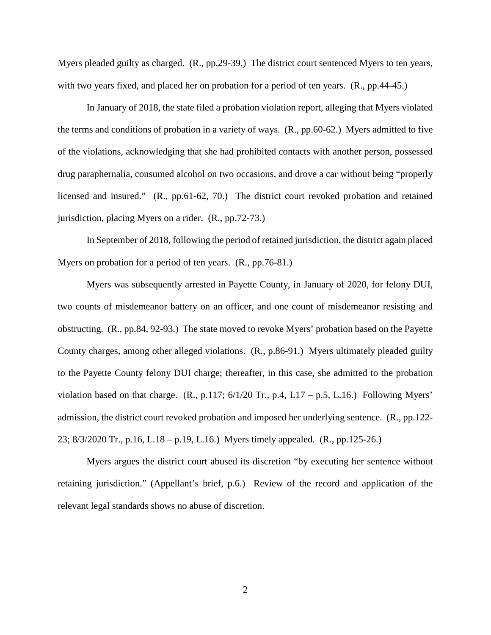Myers pleaded guilty as charged. (R., pp.29-39.) The district court sentenced Myers to ten years, with two years fixed, and placed her on probation for a period of ten years.  $(R., pp.44-45.)$ 

In January of 2018, the state filed a probation violation report, alleging that Myers violated the terms and conditions of probation in a variety of ways. (R., pp.60-62.) Myers admitted to five of the violations, acknowledging that she had prohibited contacts with another person, possessed drug paraphernalia, consumed alcohol on two occasions, and drove a car without being "properly licensed and insured." (R., pp.61-62, 70.) The district court revoked probation and retained jurisdiction, placing Myers on a rider. (R., pp.72-73.)

In September of 2018, following the period of retained jurisdiction, the district again placed Myers on probation for a period of ten years. (R., pp.76-81.)

Myers was subsequently arrested in Payette County, in January of 2020, for felony DUI, two counts of misdemeanor battery on an officer, and one count of misdemeanor resisting and obstructing. (R., pp.84, 92-93.) The state moved to revoke Myers' probation based on the Payette County charges, among other alleged violations. (R., p.86-91.) Myers ultimately pleaded guilty to the Payette County felony DUI charge; thereafter, in this case, she admitted to the probation violation based on that charge.  $(R., p.117; 6/1/20 \text{ Tr.}, p.4, L17 - p.5, L.16.)$  Following Myers' admission, the district court revoked probation and imposed her underlying sentence. (R., pp.122- 23; 8/3/2020 Tr., p.16, L.18 – p.19, L.16.) Myers timely appealed. (R., pp.125-26.)

Myers argues the district court abused its discretion "by executing her sentence without retaining jurisdiction." (Appellant's brief, p.6.) Review of the record and application of the relevant legal standards shows no abuse of discretion.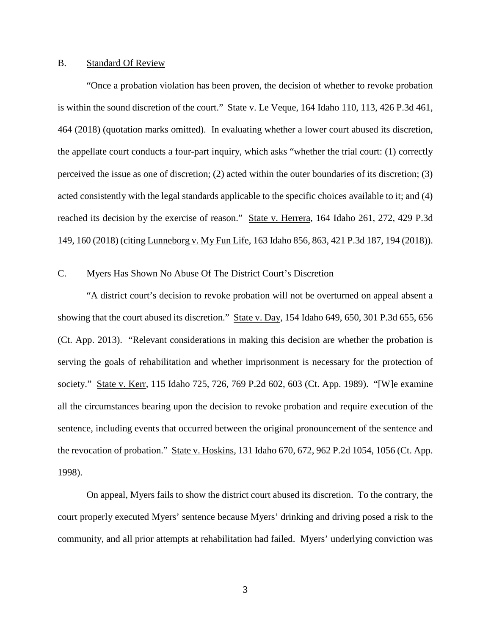### B. Standard Of Review

"Once a probation violation has been proven, the decision of whether to revoke probation is within the sound discretion of the court." State v. Le Veque, 164 Idaho 110, 113, 426 P.3d 461, 464 (2018) (quotation marks omitted). In evaluating whether a lower court abused its discretion, the appellate court conducts a four-part inquiry, which asks "whether the trial court: (1) correctly perceived the issue as one of discretion; (2) acted within the outer boundaries of its discretion; (3) acted consistently with the legal standards applicable to the specific choices available to it; and (4) reached its decision by the exercise of reason." State v. Herrera, 164 Idaho 261, 272, 429 P.3d 149, 160 (2018) (citing Lunneborg v. My Fun Life, 163 Idaho 856, 863, 421 P.3d 187, 194 (2018)).

### C. Myers Has Shown No Abuse Of The District Court's Discretion

 "A district court's decision to revoke probation will not be overturned on appeal absent a showing that the court abused its discretion." State v. Day, 154 Idaho 649, 650, 301 P.3d 655, 656 (Ct. App. 2013). "Relevant considerations in making this decision are whether the probation is serving the goals of rehabilitation and whether imprisonment is necessary for the protection of society." State v. Kerr, 115 Idaho 725, 726, 769 P.2d 602, 603 (Ct. App. 1989). "[W]e examine all the circumstances bearing upon the decision to revoke probation and require execution of the sentence, including events that occurred between the original pronouncement of the sentence and the revocation of probation." State v. Hoskins, 131 Idaho 670, 672, 962 P.2d 1054, 1056 (Ct. App. 1998).

On appeal, Myers fails to show the district court abused its discretion. To the contrary, the court properly executed Myers' sentence because Myers' drinking and driving posed a risk to the community, and all prior attempts at rehabilitation had failed. Myers' underlying conviction was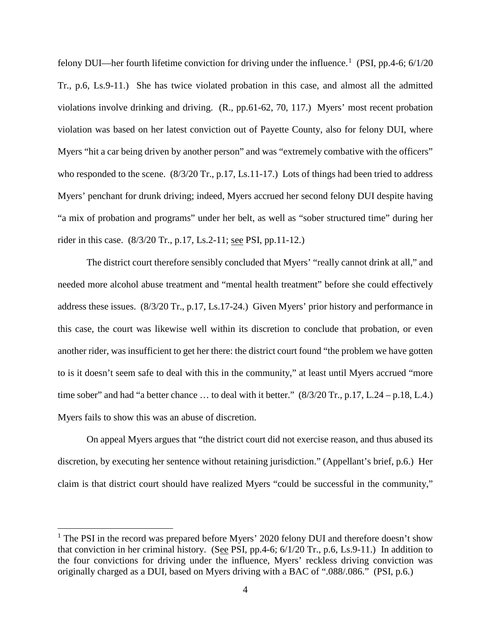felony DUI—her fourth lifetime conviction for driving under the influence.<sup>[1](#page-4-0)</sup> (PSI, pp.4-6; 6/1/20) Tr., p.6, Ls.9-11.) She has twice violated probation in this case, and almost all the admitted violations involve drinking and driving. (R., pp.61-62, 70, 117.) Myers' most recent probation violation was based on her latest conviction out of Payette County, also for felony DUI, where Myers "hit a car being driven by another person" and was "extremely combative with the officers" who responded to the scene. (8/3/20 Tr., p.17, Ls.11-17.) Lots of things had been tried to address Myers' penchant for drunk driving; indeed, Myers accrued her second felony DUI despite having "a mix of probation and programs" under her belt, as well as "sober structured time" during her rider in this case. (8/3/20 Tr., p.17, Ls.2-11; see PSI, pp.11-12.)

The district court therefore sensibly concluded that Myers' "really cannot drink at all," and needed more alcohol abuse treatment and "mental health treatment" before she could effectively address these issues. (8/3/20 Tr., p.17, Ls.17-24.) Given Myers' prior history and performance in this case, the court was likewise well within its discretion to conclude that probation, or even another rider, was insufficient to get her there: the district court found "the problem we have gotten to is it doesn't seem safe to deal with this in the community," at least until Myers accrued "more time sober" and had "a better chance ... to deal with it better."  $(8/3/20 \text{ Tr.}, p.17, L.24 - p.18, L.4.)$ Myers fails to show this was an abuse of discretion.

On appeal Myers argues that "the district court did not exercise reason, and thus abused its discretion, by executing her sentence without retaining jurisdiction." (Appellant's brief, p.6.) Her claim is that district court should have realized Myers "could be successful in the community,"

 $\overline{a}$ 

<span id="page-4-0"></span> $1$  The PSI in the record was prepared before Myers' 2020 felony DUI and therefore doesn't show that conviction in her criminal history. (See PSI, pp.4-6; 6/1/20 Tr., p.6, Ls.9-11.) In addition to the four convictions for driving under the influence, Myers' reckless driving conviction was originally charged as a DUI, based on Myers driving with a BAC of ".088/.086." (PSI, p.6.)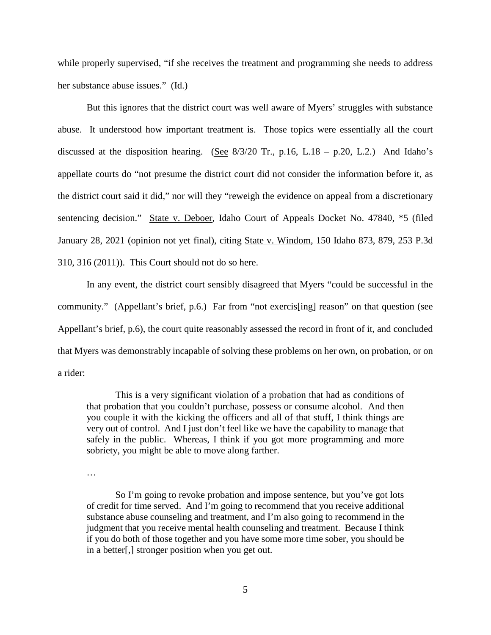while properly supervised, "if she receives the treatment and programming she needs to address her substance abuse issues." (Id.)

But this ignores that the district court was well aware of Myers' struggles with substance abuse. It understood how important treatment is. Those topics were essentially all the court discussed at the disposition hearing. (See  $8/3/20$  Tr., p.16, L.18 – p.20, L.2.) And Idaho's appellate courts do "not presume the district court did not consider the information before it, as the district court said it did," nor will they "reweigh the evidence on appeal from a discretionary sentencing decision." State v. Deboer, Idaho Court of Appeals Docket No. 47840, \*5 (filed January 28, 2021 (opinion not yet final), citing State v. Windom, 150 Idaho 873, 879, 253 P.3d 310, 316 (2011)). This Court should not do so here.

In any event, the district court sensibly disagreed that Myers "could be successful in the community." (Appellant's brief, p.6.) Far from "not exercis[ing] reason" on that question (see Appellant's brief, p.6), the court quite reasonably assessed the record in front of it, and concluded that Myers was demonstrably incapable of solving these problems on her own, on probation, or on a rider:

This is a very significant violation of a probation that had as conditions of that probation that you couldn't purchase, possess or consume alcohol. And then you couple it with the kicking the officers and all of that stuff, I think things are very out of control. And I just don't feel like we have the capability to manage that safely in the public. Whereas, I think if you got more programming and more sobriety, you might be able to move along farther.

…

So I'm going to revoke probation and impose sentence, but you've got lots of credit for time served. And I'm going to recommend that you receive additional substance abuse counseling and treatment, and I'm also going to recommend in the judgment that you receive mental health counseling and treatment. Because I think if you do both of those together and you have some more time sober, you should be in a better[,] stronger position when you get out.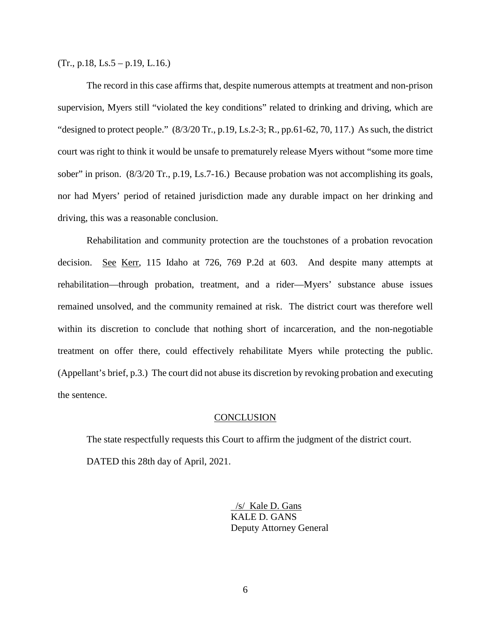$(Tr., p.18, Ls.5 - p.19, L.16.)$ 

The record in this case affirms that, despite numerous attempts at treatment and non-prison supervision, Myers still "violated the key conditions" related to drinking and driving, which are "designed to protect people."  $(8/3/20 \text{ Tr.}, p.19, \text{Ls.2-3}; \text{R.}, pp.61-62, 70, 117)$  As such, the district court was right to think it would be unsafe to prematurely release Myers without "some more time sober" in prison. (8/3/20 Tr., p.19, Ls.7-16.) Because probation was not accomplishing its goals, nor had Myers' period of retained jurisdiction made any durable impact on her drinking and driving, this was a reasonable conclusion.

Rehabilitation and community protection are the touchstones of a probation revocation decision. See Kerr, 115 Idaho at 726, 769 P.2d at 603. And despite many attempts at rehabilitation—through probation, treatment, and a rider—Myers' substance abuse issues remained unsolved, and the community remained at risk. The district court was therefore well within its discretion to conclude that nothing short of incarceration, and the non-negotiable treatment on offer there, could effectively rehabilitate Myers while protecting the public. (Appellant's brief, p.3.) The court did not abuse its discretion by revoking probation and executing the sentence.

#### **CONCLUSION**

The state respectfully requests this Court to affirm the judgment of the district court. DATED this 28th day of April, 2021.

> /s/ Kale D. Gans KALE D. GANS Deputy Attorney General